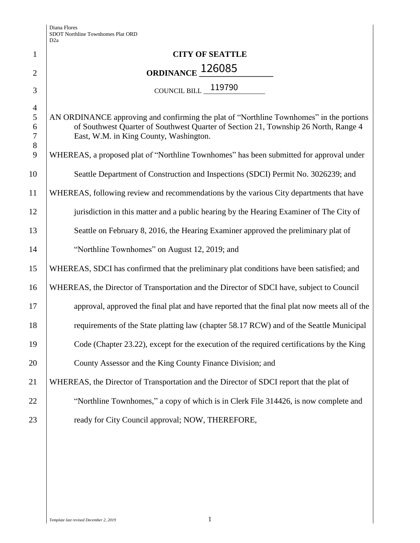| $\mathbf{1}$                                | <b>CITY OF SEATTLE</b>                                                                                                                                                                                                   |
|---------------------------------------------|--------------------------------------------------------------------------------------------------------------------------------------------------------------------------------------------------------------------------|
| $\overline{2}$                              | ORDINANCE 126085                                                                                                                                                                                                         |
| 3                                           | COUNCIL BILL 119790                                                                                                                                                                                                      |
| $\overline{4}$<br>5<br>6<br>$\tau$<br>$8\,$ | AN ORDINANCE approving and confirming the plat of "Northline Townhomes" in the portions<br>of Southwest Quarter of Southwest Quarter of Section 21, Township 26 North, Range 4<br>East, W.M. in King County, Washington. |
| 9                                           | WHEREAS, a proposed plat of "Northline Townhomes" has been submitted for approval under                                                                                                                                  |
| 10                                          | Seattle Department of Construction and Inspections (SDCI) Permit No. 3026239; and                                                                                                                                        |
| 11                                          | WHEREAS, following review and recommendations by the various City departments that have                                                                                                                                  |
| 12                                          | jurisdiction in this matter and a public hearing by the Hearing Examiner of The City of                                                                                                                                  |
| 13                                          | Seattle on February 8, 2016, the Hearing Examiner approved the preliminary plat of                                                                                                                                       |
| 14                                          | "Northline Townhomes" on August 12, 2019; and                                                                                                                                                                            |
| 15                                          | WHEREAS, SDCI has confirmed that the preliminary plat conditions have been satisfied; and                                                                                                                                |
| 16                                          | WHEREAS, the Director of Transportation and the Director of SDCI have, subject to Council                                                                                                                                |
| 17                                          | approval, approved the final plat and have reported that the final plat now meets all of the                                                                                                                             |
| 18                                          | requirements of the State platting law (chapter 58.17 RCW) and of the Seattle Municipal                                                                                                                                  |
| 19                                          | Code (Chapter 23.22), except for the execution of the required certifications by the King                                                                                                                                |
| 20                                          | County Assessor and the King County Finance Division; and                                                                                                                                                                |
| 21                                          | WHEREAS, the Director of Transportation and the Director of SDCI report that the plat of                                                                                                                                 |
| 22                                          | "Northline Townhomes," a copy of which is in Clerk File 314426, is now complete and                                                                                                                                      |
| 23                                          | ready for City Council approval; NOW, THEREFORE,                                                                                                                                                                         |
|                                             |                                                                                                                                                                                                                          |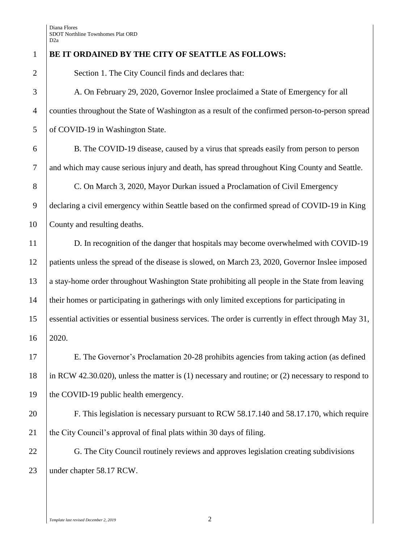## **BE IT ORDAINED BY THE CITY OF SEATTLE AS FOLLOWS:**

2 | Section 1. The City Council finds and declares that:

 A. On February 29, 2020, Governor Inslee proclaimed a State of Emergency for all counties throughout the State of Washington as a result of the confirmed person-to-person spread 5 of COVID-19 in Washington State.

 B. The COVID-19 disease, caused by a virus that spreads easily from person to person and which may cause serious injury and death, has spread throughout King County and Seattle.

8 C. On March 3, 2020, Mayor Durkan issued a Proclamation of Civil Emergency declaring a civil emergency within Seattle based on the confirmed spread of COVID-19 in King County and resulting deaths.

11 D. In recognition of the danger that hospitals may become overwhelmed with COVID-19 patients unless the spread of the disease is slowed, on March 23, 2020, Governor Inslee imposed a stay-home order throughout Washington State prohibiting all people in the State from leaving their homes or participating in gatherings with only limited exceptions for participating in essential activities or essential business services. The order is currently in effect through May 31, 2020.

 E. The Governor's Proclamation 20-28 prohibits agencies from taking action (as defined in RCW 42.30.020), unless the matter is (1) necessary and routine; or (2) necessary to respond to 19 the COVID-19 public health emergency.

 F. This legislation is necessary pursuant to RCW 58.17.140 and 58.17.170, which require the City Council's approval of final plats within 30 days of filing.

22 G. The City Council routinely reviews and approves legislation creating subdivisions under chapter 58.17 RCW.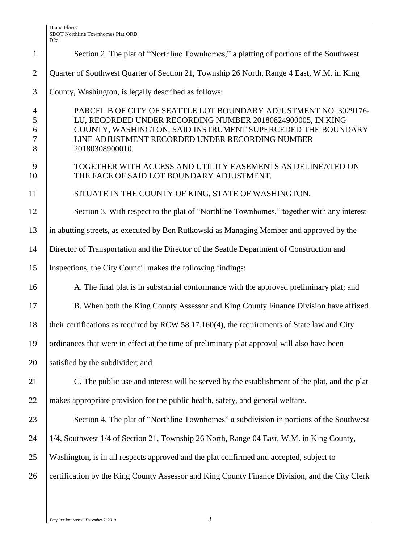| $\mathbf{1}$                            | Section 2. The plat of "Northline Townhomes," a platting of portions of the Southwest                                                                                                                                                                                |
|-----------------------------------------|----------------------------------------------------------------------------------------------------------------------------------------------------------------------------------------------------------------------------------------------------------------------|
| $\mathfrak{2}$                          | Quarter of Southwest Quarter of Section 21, Township 26 North, Range 4 East, W.M. in King                                                                                                                                                                            |
| 3                                       | County, Washington, is legally described as follows:                                                                                                                                                                                                                 |
| $\overline{4}$<br>5<br>6<br>$\tau$<br>8 | PARCEL B OF CITY OF SEATTLE LOT BOUNDARY ADJUSTMENT NO. 3029176-<br>LU, RECORDED UNDER RECORDING NUMBER 20180824900005, IN KING<br>COUNTY, WASHINGTON, SAID INSTRUMENT SUPERCEDED THE BOUNDARY<br>LINE ADJUSTMENT RECORDED UNDER RECORDING NUMBER<br>20180308900010. |
| 9<br>10                                 | TOGETHER WITH ACCESS AND UTILITY EASEMENTS AS DELINEATED ON<br>THE FACE OF SAID LOT BOUNDARY ADJUSTMENT.                                                                                                                                                             |
| 11                                      | SITUATE IN THE COUNTY OF KING, STATE OF WASHINGTON.                                                                                                                                                                                                                  |
| 12                                      | Section 3. With respect to the plat of "Northline Townhomes," together with any interest                                                                                                                                                                             |
| 13                                      | in abutting streets, as executed by Ben Rutkowski as Managing Member and approved by the                                                                                                                                                                             |
| 14                                      | Director of Transportation and the Director of the Seattle Department of Construction and                                                                                                                                                                            |
| 15                                      | Inspections, the City Council makes the following findings:                                                                                                                                                                                                          |
| 16                                      | A. The final plat is in substantial conformance with the approved preliminary plat; and                                                                                                                                                                              |
| 17                                      | B. When both the King County Assessor and King County Finance Division have affixed                                                                                                                                                                                  |
| 18                                      | their certifications as required by RCW 58.17.160(4), the requirements of State law and City                                                                                                                                                                         |
| 19                                      | ordinances that were in effect at the time of preliminary plat approval will also have been                                                                                                                                                                          |
| 20                                      | satisfied by the subdivider; and                                                                                                                                                                                                                                     |
| 21                                      | C. The public use and interest will be served by the establishment of the plat, and the plat                                                                                                                                                                         |
| 22                                      | makes appropriate provision for the public health, safety, and general welfare.                                                                                                                                                                                      |
| 23                                      | Section 4. The plat of "Northline Townhomes" a subdivision in portions of the Southwest                                                                                                                                                                              |
| 24                                      | 1/4, Southwest 1/4 of Section 21, Township 26 North, Range 04 East, W.M. in King County,                                                                                                                                                                             |
| 25                                      | Washington, is in all respects approved and the plat confirmed and accepted, subject to                                                                                                                                                                              |
| 26                                      | certification by the King County Assessor and King County Finance Division, and the City Clerk                                                                                                                                                                       |